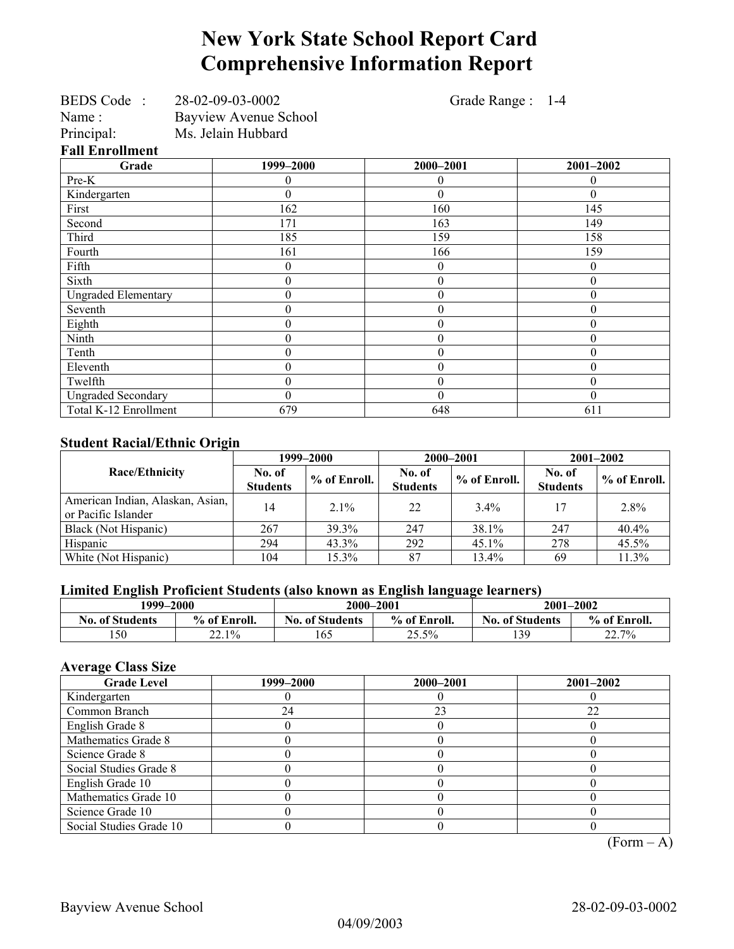# **New York State School Report Card Comprehensive Information Report**

| BEDS Code: 28-02-09-03-0002 | Grade Range : 1-4            |                  |
|-----------------------------|------------------------------|------------------|
|                             |                              |                  |
| Ms. Jelain Hubbard          |                              |                  |
|                             |                              |                  |
| 1999-2000                   | 2000-2001                    | 2001-2002        |
| 0                           | 0                            | 0                |
| 0                           | 0                            | $\theta$         |
| 162                         | 160                          | 145              |
| 171                         | 163                          | 149              |
| 185                         | 159                          | 158              |
| 161                         | 166                          | 159              |
| $\boldsymbol{0}$            | $\theta$                     | $\boldsymbol{0}$ |
| $\boldsymbol{0}$            | $\theta$                     | $\boldsymbol{0}$ |
| $\theta$                    | $\theta$                     | $\boldsymbol{0}$ |
| 0                           | 0                            | $\boldsymbol{0}$ |
| $\boldsymbol{0}$            | 0                            | $\boldsymbol{0}$ |
| $\overline{0}$              | 0                            | $\boldsymbol{0}$ |
| $\boldsymbol{0}$            | 0                            | $\boldsymbol{0}$ |
| $\boldsymbol{0}$            | $\theta$                     | $\boldsymbol{0}$ |
| $\overline{0}$              | 0                            | $\boldsymbol{0}$ |
| $\theta$                    | $\theta$                     | $\theta$         |
| 679                         | 648                          | 611              |
|                             | <b>Bayview Avenue School</b> |                  |

#### **Student Racial/Ethnic Origin**

|                                                         | 1999–2000                 |              | 2000-2001                 |              | $2001 - 2002$             |              |
|---------------------------------------------------------|---------------------------|--------------|---------------------------|--------------|---------------------------|--------------|
| Race/Ethnicity                                          | No. of<br><b>Students</b> | % of Enroll. | No. of<br><b>Students</b> | % of Enroll. | No. of<br><b>Students</b> | % of Enroll. |
| American Indian, Alaskan, Asian,<br>or Pacific Islander | 14                        | $2.1\%$      | 22                        | $3.4\%$      | 17                        | 2.8%         |
| Black (Not Hispanic)                                    | 267                       | 39.3%        | 247                       | 38.1%        | 247                       | 40.4%        |
| Hispanic                                                | 294                       | $43.3\%$     | 292                       | $45.1\%$     | 278                       | 45.5%        |
| White (Not Hispanic)                                    | 104                       | 15.3%        | 87                        | 13.4%        | 69                        | 11.3%        |

## **Limited English Proficient Students (also known as English language learners)**

|                        | 1999–2000    |                        | 2000-2001    |                        | 2001-2002    |
|------------------------|--------------|------------------------|--------------|------------------------|--------------|
| <b>No. of Students</b> | % of Enroll. | <b>No. of Students</b> | % of Enroll. | <b>No. of Students</b> | % of Enroll. |
| 150                    | 22.1%        | 165                    | 25.5%        | 139                    | 22.7%        |

## **Average Class Size**

| <b>Grade Level</b>      | 1999–2000 | 2000-2001 | $2001 - 2002$ |
|-------------------------|-----------|-----------|---------------|
| Kindergarten            |           |           |               |
| Common Branch           | 24        | 23        | 22            |
| English Grade 8         |           |           |               |
| Mathematics Grade 8     |           |           |               |
| Science Grade 8         |           |           |               |
| Social Studies Grade 8  |           |           |               |
| English Grade 10        |           |           |               |
| Mathematics Grade 10    |           |           |               |
| Science Grade 10        |           |           |               |
| Social Studies Grade 10 |           |           | $\sqrt{ }$    |

 $(Form - A)$